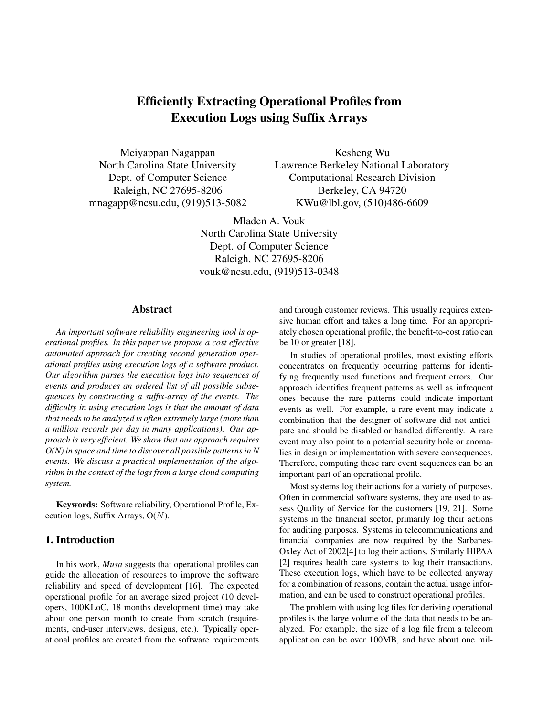# Efficiently Extracting Operational Profiles from Execution Logs using Suffix Arrays

Meiyappan Nagappan North Carolina State University Dept. of Computer Science Raleigh, NC 27695-8206 mnagapp@ncsu.edu, (919)513-5082

Kesheng Wu Lawrence Berkeley National Laboratory Computational Research Division Berkeley, CA 94720 KWu@lbl.gov, (510)486-6609

Mladen A. Vouk North Carolina State University Dept. of Computer Science Raleigh, NC 27695-8206 vouk@ncsu.edu, (919)513-0348

### Abstract

*An important software reliability engineering tool is operational profiles. In this paper we propose a cost effective automated approach for creating second generation operational profiles using execution logs of a software product. Our algorithm parses the execution logs into sequences of events and produces an ordered list of all possible subsequences by constructing a suffix-array of the events. The difficulty in using execution logs is that the amount of data that needs to be analyzed is often extremely large (more than a million records per day in many applications). Our approach is very efficient. We show that our approach requires O(N) in space and time to discover all possible patterns in N events. We discuss a practical implementation of the algorithm in the context of the logs from a large cloud computing system.*

Keywords: Software reliability, Operational Profile, Execution logs, Suffix Arrays,  $O(N)$ .

# 1. Introduction

In his work, *Musa* suggests that operational profiles can guide the allocation of resources to improve the software reliability and speed of development [16]. The expected operational profile for an average sized project (10 developers, 100KLoC, 18 months development time) may take about one person month to create from scratch (requirements, end-user interviews, designs, etc.). Typically operational profiles are created from the software requirements

and through customer reviews. This usually requires extensive human effort and takes a long time. For an appropriately chosen operational profile, the benefit-to-cost ratio can be 10 or greater [18].

In studies of operational profiles, most existing efforts concentrates on frequently occurring patterns for identifying frequently used functions and frequent errors. Our approach identifies frequent patterns as well as infrequent ones because the rare patterns could indicate important events as well. For example, a rare event may indicate a combination that the designer of software did not anticipate and should be disabled or handled differently. A rare event may also point to a potential security hole or anomalies in design or implementation with severe consequences. Therefore, computing these rare event sequences can be an important part of an operational profile.

Most systems log their actions for a variety of purposes. Often in commercial software systems, they are used to assess Quality of Service for the customers [19, 21]. Some systems in the financial sector, primarily log their actions for auditing purposes. Systems in telecommunications and financial companies are now required by the Sarbanes-Oxley Act of 2002[4] to log their actions. Similarly HIPAA [2] requires health care systems to log their transactions. These execution logs, which have to be collected anyway for a combination of reasons, contain the actual usage information, and can be used to construct operational profiles.

The problem with using log files for deriving operational profiles is the large volume of the data that needs to be analyzed. For example, the size of a log file from a telecom application can be over 100MB, and have about one mil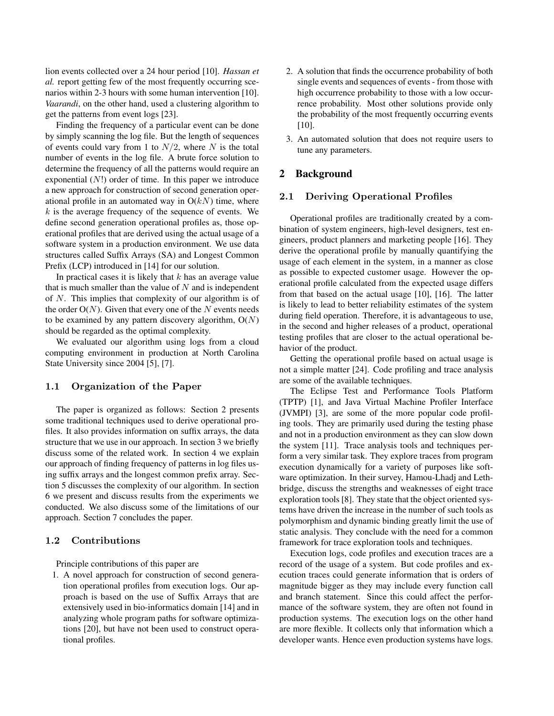lion events collected over a 24 hour period [10]. *Hassan et al.* report getting few of the most frequently occurring scenarios within 2-3 hours with some human intervention [10]. *Vaarandi*, on the other hand, used a clustering algorithm to get the patterns from event logs [23].

Finding the frequency of a particular event can be done by simply scanning the log file. But the length of sequences of events could vary from 1 to  $N/2$ , where N is the total number of events in the log file. A brute force solution to determine the frequency of all the patterns would require an exponential  $(N!)$  order of time. In this paper we introduce a new approach for construction of second generation operational profile in an automated way in  $O(kN)$  time, where  $k$  is the average frequency of the sequence of events. We define second generation operational profiles as, those operational profiles that are derived using the actual usage of a software system in a production environment. We use data structures called Suffix Arrays (SA) and Longest Common Prefix (LCP) introduced in [14] for our solution.

In practical cases it is likely that  $k$  has an average value that is much smaller than the value of  $N$  and is independent of N. This implies that complexity of our algorithm is of the order  $O(N)$ . Given that every one of the N events needs to be examined by any pattern discovery algorithm,  $O(N)$ should be regarded as the optimal complexity.

We evaluated our algorithm using logs from a cloud computing environment in production at North Carolina State University since 2004 [5], [7].

### 1.1 Organization of the Paper

The paper is organized as follows: Section 2 presents some traditional techniques used to derive operational profiles. It also provides information on suffix arrays, the data structure that we use in our approach. In section 3 we briefly discuss some of the related work. In section 4 we explain our approach of finding frequency of patterns in log files using suffix arrays and the longest common prefix array. Section 5 discusses the complexity of our algorithm. In section 6 we present and discuss results from the experiments we conducted. We also discuss some of the limitations of our approach. Section 7 concludes the paper.

#### 1.2 Contributions

Principle contributions of this paper are

1. A novel approach for construction of second generation operational profiles from execution logs. Our approach is based on the use of Suffix Arrays that are extensively used in bio-informatics domain [14] and in analyzing whole program paths for software optimizations [20], but have not been used to construct operational profiles.

- 2. A solution that finds the occurrence probability of both single events and sequences of events - from those with high occurrence probability to those with a low occurrence probability. Most other solutions provide only the probability of the most frequently occurring events [10].
- 3. An automated solution that does not require users to tune any parameters.

# 2 Background

#### 2.1 Deriving Operational Profiles

Operational profiles are traditionally created by a combination of system engineers, high-level designers, test engineers, product planners and marketing people [16]. They derive the operational profile by manually quantifying the usage of each element in the system, in a manner as close as possible to expected customer usage. However the operational profile calculated from the expected usage differs from that based on the actual usage [10], [16]. The latter is likely to lead to better reliability estimates of the system during field operation. Therefore, it is advantageous to use, in the second and higher releases of a product, operational testing profiles that are closer to the actual operational behavior of the product.

Getting the operational profile based on actual usage is not a simple matter [24]. Code profiling and trace analysis are some of the available techniques.

The Eclipse Test and Performance Tools Platform (TPTP) [1], and Java Virtual Machine Profiler Interface (JVMPI) [3], are some of the more popular code profiling tools. They are primarily used during the testing phase and not in a production environment as they can slow down the system [11]. Trace analysis tools and techniques perform a very similar task. They explore traces from program execution dynamically for a variety of purposes like software optimization. In their survey, Hamou-Lhadj and Lethbridge, discuss the strengths and weaknesses of eight trace exploration tools [8]. They state that the object oriented systems have driven the increase in the number of such tools as polymorphism and dynamic binding greatly limit the use of static analysis. They conclude with the need for a common framework for trace exploration tools and techniques.

Execution logs, code profiles and execution traces are a record of the usage of a system. But code profiles and execution traces could generate information that is orders of magnitude bigger as they may include every function call and branch statement. Since this could affect the performance of the software system, they are often not found in production systems. The execution logs on the other hand are more flexible. It collects only that information which a developer wants. Hence even production systems have logs.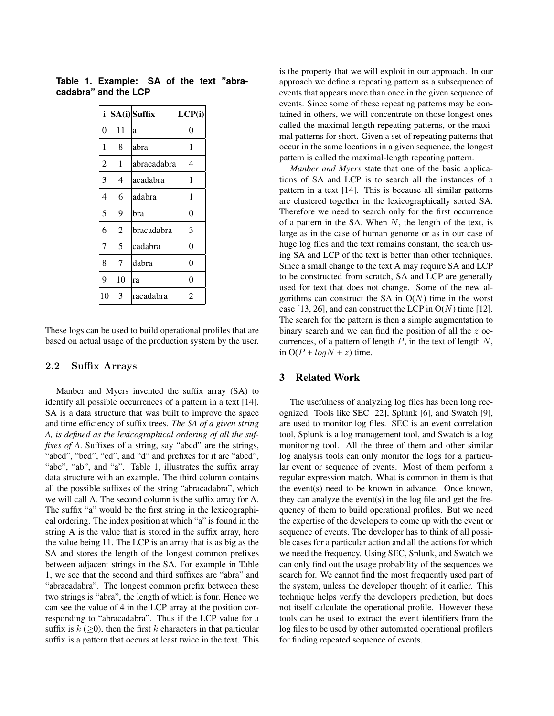| i              |    | SA(i) Suffix | LCP(i)   |
|----------------|----|--------------|----------|
| 0              | 11 | a            | $\theta$ |
| 1              | 8  | abra         | 1        |
| $\overline{c}$ | 1  | abracadabra  | 4        |
| 3              | 4  | acadabra     | 1        |
| 4              | 6  | adabra       | 1        |
| 5              | 9  | bra          | 0        |
| 6              | 2  | bracadabra   | 3        |
| $\overline{7}$ | 5  | cadabra      | 0        |
| 8              | 7  | dabra        | 0        |
| 9              | 10 | ra           | 0        |
| 10             | 3  | racadabra    | 2        |

**Table 1. Example: SA of the text "abracadabra" and the LCP**

These logs can be used to build operational profiles that are based on actual usage of the production system by the user.

#### 2.2 Suffix Arrays

Manber and Myers invented the suffix array (SA) to identify all possible occurrences of a pattern in a text [14]. SA is a data structure that was built to improve the space and time efficiency of suffix trees. *The SA of a given string A, is defined as the lexicographical ordering of all the suffixes of A*. Suffixes of a string, say "abcd" are the strings, "abcd", "bcd", "cd", and "d" and prefixes for it are "abcd", "abc", "ab", and "a". Table 1, illustrates the suffix array data structure with an example. The third column contains all the possible suffixes of the string "abracadabra", which we will call A. The second column is the suffix array for A. The suffix "a" would be the first string in the lexicographical ordering. The index position at which "a" is found in the string A is the value that is stored in the suffix array, here the value being 11. The LCP is an array that is as big as the SA and stores the length of the longest common prefixes between adjacent strings in the SA. For example in Table 1, we see that the second and third suffixes are "abra" and "abracadabra". The longest common prefix between these two strings is "abra", the length of which is four. Hence we can see the value of 4 in the LCP array at the position corresponding to "abracadabra". Thus if the LCP value for a suffix is  $k$  ( $>$ 0), then the first k characters in that particular suffix is a pattern that occurs at least twice in the text. This is the property that we will exploit in our approach. In our approach we define a repeating pattern as a subsequence of events that appears more than once in the given sequence of events. Since some of these repeating patterns may be contained in others, we will concentrate on those longest ones called the maximal-length repeating patterns, or the maximal patterns for short. Given a set of repeating patterns that occur in the same locations in a given sequence, the longest pattern is called the maximal-length repeating pattern.

*Manber and Myers* state that one of the basic applications of SA and LCP is to search all the instances of a pattern in a text [14]. This is because all similar patterns are clustered together in the lexicographically sorted SA. Therefore we need to search only for the first occurrence of a pattern in the SA. When  $N$ , the length of the text, is large as in the case of human genome or as in our case of huge log files and the text remains constant, the search using SA and LCP of the text is better than other techniques. Since a small change to the text A may require SA and LCP to be constructed from scratch, SA and LCP are generally used for text that does not change. Some of the new algorithms can construct the SA in  $O(N)$  time in the worst case [13, 26], and can construct the LCP in  $O(N)$  time [12]. The search for the pattern is then a simple augmentation to binary search and we can find the position of all the z occurrences, of a pattern of length  $P$ , in the text of length  $N$ , in  $O(P + log N + z)$  time.

# 3 Related Work

The usefulness of analyzing log files has been long recognized. Tools like SEC [22], Splunk [6], and Swatch [9], are used to monitor log files. SEC is an event correlation tool, Splunk is a log management tool, and Swatch is a log monitoring tool. All the three of them and other similar log analysis tools can only monitor the logs for a particular event or sequence of events. Most of them perform a regular expression match. What is common in them is that the event(s) need to be known in advance. Once known, they can analyze the event(s) in the log file and get the frequency of them to build operational profiles. But we need the expertise of the developers to come up with the event or sequence of events. The developer has to think of all possible cases for a particular action and all the actions for which we need the frequency. Using SEC, Splunk, and Swatch we can only find out the usage probability of the sequences we search for. We cannot find the most frequently used part of the system, unless the developer thought of it earlier. This technique helps verify the developers prediction, but does not itself calculate the operational profile. However these tools can be used to extract the event identifiers from the log files to be used by other automated operational profilers for finding repeated sequence of events.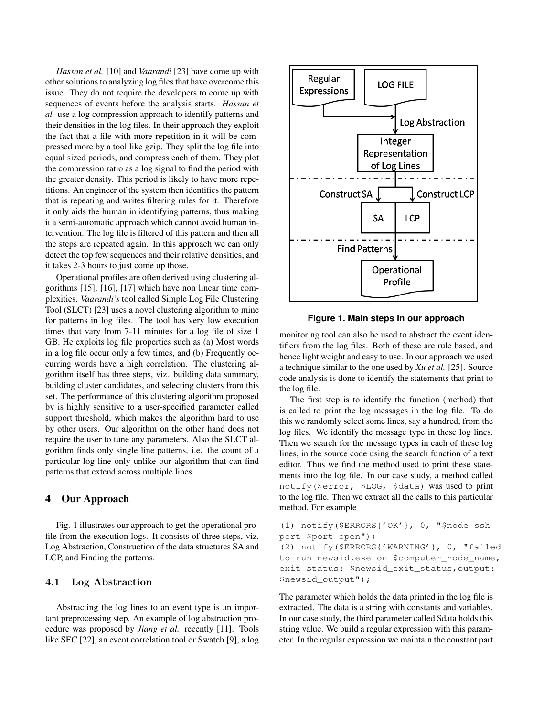*Hassan et al.* [10] and *Vaarandi* [23] have come up with other solutions to analyzing log files that have overcome this issue. They do not require the developers to come up with sequences of events before the analysis starts. *Hassan et al.* use a log compression approach to identify patterns and their densities in the log files. In their approach they exploit the fact that a file with more repetition in it will be compressed more by a tool like gzip. They split the log file into equal sized periods, and compress each of them. They plot the compression ratio as a log signal to find the period with the greater density. This period is likely to have more repetitions. An engineer of the system then identifies the pattern that is repeating and writes filtering rules for it. Therefore it only aids the human in identifying patterns, thus making it a semi-automatic approach which cannot avoid human intervention. The log file is filtered of this pattern and then all the steps are repeated again. In this approach we can only detect the top few sequences and their relative densities, and it takes 2-3 hours to just come up those.

Operational profiles are often derived using clustering algorithms [15], [16], [17] which have non linear time complexities. *Vaarandi's* tool called Simple Log File Clustering Tool (SLCT) [23] uses a novel clustering algorithm to mine for patterns in log files. The tool has very low execution times that vary from 7-11 minutes for a log file of size 1 GB. He exploits log file properties such as (a) Most words in a log file occur only a few times, and (b) Frequently occurring words have a high correlation. The clustering algorithm itself has three steps, viz. building data summary, building cluster candidates, and selecting clusters from this set. The performance of this clustering algorithm proposed by is highly sensitive to a user-specified parameter called support threshold, which makes the algorithm hard to use by other users. Our algorithm on the other hand does not require the user to tune any parameters. Also the SLCT algorithm finds only single line patterns, i.e. the count of a particular log line only unlike our algorithm that can find patterns that extend across multiple lines.

# 4 Our Approach

Fig. 1 illustrates our approach to get the operational profile from the execution logs. It consists of three steps, viz. Log Abstraction, Construction of the data structures SA and LCP, and Finding the patterns.

#### 4.1 Log Abstraction

Abstracting the log lines to an event type is an important preprocessing step. An example of log abstraction procedure was proposed by *Jiang et al.* recently [11]. Tools like SEC [22], an event correlation tool or Swatch [9], a log



**Figure 1. Main steps in our approach**

monitoring tool can also be used to abstract the event identifiers from the log files. Both of these are rule based, and hence light weight and easy to use. In our approach we used a technique similar to the one used by *Xu et al.* [25]. Source code analysis is done to identify the statements that print to the log file.

The first step is to identify the function (method) that is called to print the log messages in the log file. To do this we randomly select some lines, say a hundred, from the log files. We identify the message type in these log lines. Then we search for the message types in each of these log lines, in the source code using the search function of a text editor. Thus we find the method used to print these statements into the log file. In our case study, a method called notify(\$error, \$LOG, \$data) was used to print to the log file. Then we extract all the calls to this particular method. For example

```
(1) notify($ERRORS{'OK'}, 0, "$node ssh
port $port open");
```
(2) notify(\$ERRORS{'WARNING'}, 0, "failed to run newsid.exe on \$computer\_node\_name, exit status: \$newsid\_exit\_status,output: \$newsid\_output");

The parameter which holds the data printed in the log file is extracted. The data is a string with constants and variables. In our case study, the third parameter called \$data holds this string value. We build a regular expression with this parameter. In the regular expression we maintain the constant part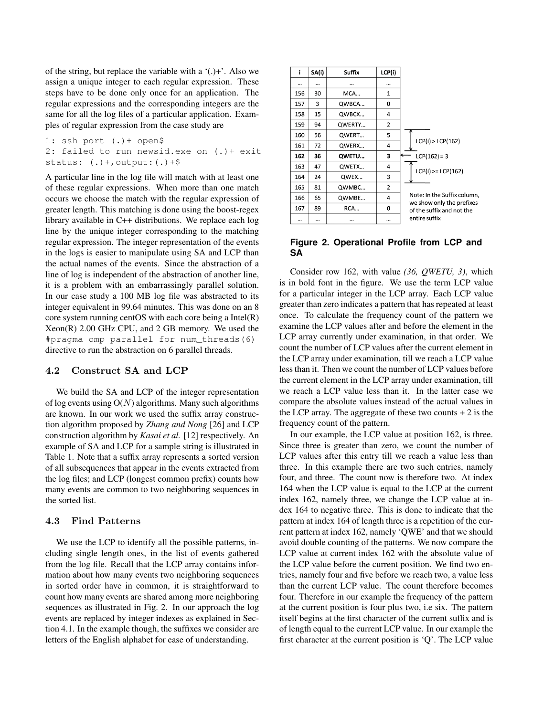of the string, but replace the variable with a '(.)+'. Also we assign a unique integer to each regular expression. These steps have to be done only once for an application. The regular expressions and the corresponding integers are the same for all the log files of a particular application. Examples of regular expression from the case study are

1: ssh port (.)+ open\$ 2: failed to run newsid.exe on (.)+ exit status:  $(.)+$ , output:  $(.)+$ \$

A particular line in the log file will match with at least one of these regular expressions. When more than one match occurs we choose the match with the regular expression of greater length. This matching is done using the boost-regex library available in C++ distributions. We replace each log line by the unique integer corresponding to the matching regular expression. The integer representation of the events in the logs is easier to manipulate using SA and LCP than the actual names of the events. Since the abstraction of a line of log is independent of the abstraction of another line, it is a problem with an embarrassingly parallel solution. In our case study a 100 MB log file was abstracted to its integer equivalent in 99.64 minutes. This was done on an 8 core system running centOS with each core being a Intel(R) Xeon(R) 2.00 GHz CPU, and 2 GB memory. We used the #pragma omp parallel for num\_threads(6) directive to run the abstraction on 6 parallel threads.

#### 4.2 Construct SA and LCP

We build the SA and LCP of the integer representation of log events using  $O(N)$  algorithms. Many such algorithms are known. In our work we used the suffix array construction algorithm proposed by *Zhang and Nong* [26] and LCP construction algorithm by *Kasai et al.* [12] respectively. An example of SA and LCP for a sample string is illustrated in Table 1. Note that a suffix array represents a sorted version of all subsequences that appear in the events extracted from the log files; and LCP (longest common prefix) counts how many events are common to two neighboring sequences in the sorted list.

### 4.3 Find Patterns

We use the LCP to identify all the possible patterns, including single length ones, in the list of events gathered from the log file. Recall that the LCP array contains information about how many events two neighboring sequences in sorted order have in common, it is straightforward to count how many events are shared among more neighboring sequences as illustrated in Fig. 2. In our approach the log events are replaced by integer indexes as explained in Section 4.1. In the example though, the suffixes we consider are letters of the English alphabet for ease of understanding.

| i   | SA(i) | Suffix | LCP(i)         |                                                        |
|-----|-------|--------|----------------|--------------------------------------------------------|
|     |       |        |                |                                                        |
| 156 | 30    | MCA    | 1              |                                                        |
| 157 | 3     | QWBCA  | 0              |                                                        |
| 158 | 15    | QWBCX  | 4              |                                                        |
| 159 | 94    | OWERTY | $\overline{2}$ |                                                        |
| 160 | 56    | OWERT  | 5              |                                                        |
| 161 | 72    | OWERX  | 4              | LCP(i) > LCP(162)                                      |
| 162 | 36    | QWETU  | 3              | $LCP(162) = 3$                                         |
| 163 | 47    | OWETX  | 4              | $LCP(i)$ >= $LCP(162)$                                 |
| 164 | 24    | QWEX   | 3              |                                                        |
| 165 | 81    | QWMBC  | 2              |                                                        |
| 166 | 65    | QWMBE  | 4              | Note: In the Suffix column,                            |
| 167 | 89    | RCA    | 0              | we show only the prefixes<br>of the suffix and not the |
|     |       |        |                | entire suffix                                          |

#### **Figure 2. Operational Profile from LCP and SA**

Consider row 162, with value *(36, QWETU, 3)*, which is in bold font in the figure. We use the term LCP value for a particular integer in the LCP array. Each LCP value greater than zero indicates a pattern that has repeated at least once. To calculate the frequency count of the pattern we examine the LCP values after and before the element in the LCP array currently under examination, in that order. We count the number of LCP values after the current element in the LCP array under examination, till we reach a LCP value less than it. Then we count the number of LCP values before the current element in the LCP array under examination, till we reach a LCP value less than it. In the latter case we compare the absolute values instead of the actual values in the LCP array. The aggregate of these two counts  $+2$  is the frequency count of the pattern.

In our example, the LCP value at position 162, is three. Since three is greater than zero, we count the number of LCP values after this entry till we reach a value less than three. In this example there are two such entries, namely four, and three. The count now is therefore two. At index 164 when the LCP value is equal to the LCP at the current index 162, namely three, we change the LCP value at index 164 to negative three. This is done to indicate that the pattern at index 164 of length three is a repetition of the current pattern at index 162, namely 'QWE' and that we should avoid double counting of the patterns. We now compare the LCP value at current index 162 with the absolute value of the LCP value before the current position. We find two entries, namely four and five before we reach two, a value less than the current LCP value. The count therefore becomes four. Therefore in our example the frequency of the pattern at the current position is four plus two, i.e six. The pattern itself begins at the first character of the current suffix and is of length equal to the current LCP value. In our example the first character at the current position is 'Q'. The LCP value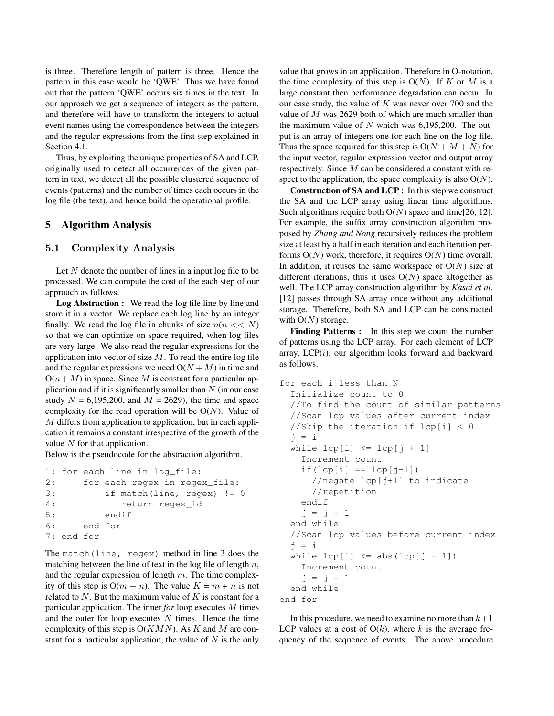is three. Therefore length of pattern is three. Hence the pattern in this case would be 'QWE'. Thus we have found out that the pattern 'QWE' occurs six times in the text. In our approach we get a sequence of integers as the pattern, and therefore will have to transform the integers to actual event names using the correspondence between the integers and the regular expressions from the first step explained in Section 4.1.

Thus, by exploiting the unique properties of SA and LCP, originally used to detect all occurrences of the given pattern in text, we detect all the possible clustered sequence of events (patterns) and the number of times each occurs in the log file (the text), and hence build the operational profile.

# 5 Algorithm Analysis

#### 5.1 Complexity Analysis

Let  $N$  denote the number of lines in a input log file to be processed. We can compute the cost of the each step of our approach as follows.

Log Abstraction : We read the log file line by line and store it in a vector. We replace each log line by an integer finally. We read the log file in chunks of size  $n(n \ll N)$ so that we can optimize on space required, when log files are very large. We also read the regular expressions for the application into vector of size  $M$ . To read the entire log file and the regular expressions we need  $O(N + M)$  in time and  $O(n+M)$  in space. Since M is constant for a particular application and if it is significantly smaller than  $N$  (in our case study  $N = 6,195,200$ , and  $M = 2629$ ), the time and space complexity for the read operation will be  $O(N)$ . Value of M differs from application to application, but in each application it remains a constant irrespective of the growth of the value  $N$  for that application.

Below is the pseudocode for the abstraction algorithm.

```
1: for each line in log_file:
2: for each regex in regex_file:
3: if match(line, regex) != 0
4: return regex_id
5: endif
6: end for
7: end for
```
The match(line, regex) method in line 3 does the matching between the line of text in the log file of length  $n$ , and the regular expression of length  $m$ . The time complexity of this step is  $O(m + n)$ . The value  $K = m + n$  is not related to  $N$ . But the maximum value of  $K$  is constant for a particular application. The inner *for* loop executes M times and the outer for loop executes  $N$  times. Hence the time complexity of this step is  $O(KMN)$ . As K and M are constant for a particular application, the value of  $N$  is the only value that grows in an application. Therefore in O-notation, the time complexity of this step is  $O(N)$ . If K or M is a large constant then performance degradation can occur. In our case study, the value of  $K$  was never over 700 and the value of M was 2629 both of which are much smaller than the maximum value of  $N$  which was 6,195,200. The output is an array of integers one for each line on the log file. Thus the space required for this step is  $O(N + M + N)$  for the input vector, regular expression vector and output array respectively. Since M can be considered a constant with respect to the application, the space complexity is also  $O(N)$ .

Construction of SA and LCP : In this step we construct the SA and the LCP array using linear time algorithms. Such algorithms require both  $O(N)$  space and time[26, 12]. For example, the suffix array construction algorithm proposed by *Zhang and Nong* recursively reduces the problem size at least by a half in each iteration and each iteration performs  $O(N)$  work, therefore, it requires  $O(N)$  time overall. In addition, it reuses the same workspace of  $O(N)$  size at different iterations, thus it uses  $O(N)$  space altogether as well. The LCP array construction algorithm by *Kasai et al.* [12] passes through SA array once without any additional storage. Therefore, both SA and LCP can be constructed with  $O(N)$  storage.

Finding Patterns : In this step we count the number of patterns using the LCP array. For each element of LCP array,  $LCP(i)$ , our algorithm looks forward and backward as follows.

```
for each i less than N
  Initialize count to 0
  //To find the count of similar patterns
  //Scan lcp values after current index
  //Skip the iteration if lcp[i] < 0
  j = iwhile lcp[i] \leq lcp[j+1]Increment count
    if(lcp[i] == lcp[j+1])//negate lcp[j+1] to indicate
      //repetition
    endif
    j = j + 1end while
  //Scan lcp values before current index
  j = iwhile lcp[i] \leq abs(lcp[j-1])Increment count
    j = j - 1end while
end for
```
In this procedure, we need to examine no more than  $k+1$ LCP values at a cost of  $O(k)$ , where k is the average frequency of the sequence of events. The above procedure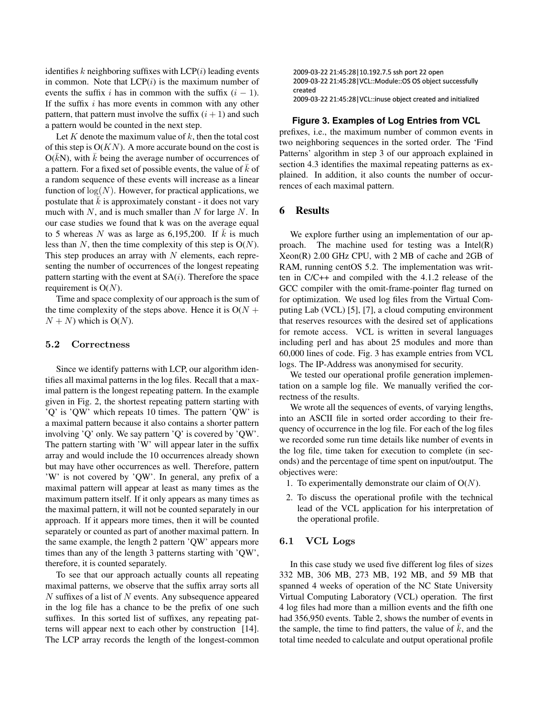identifies k neighboring suffixes with  $LCP(i)$  leading events in common. Note that  $LCP(i)$  is the maximum number of events the suffix i has in common with the suffix  $(i - 1)$ . If the suffix  $i$  has more events in common with any other pattern, that pattern must involve the suffix  $(i + 1)$  and such a pattern would be counted in the next step.

Let  $K$  denote the maximum value of  $k$ , then the total cost of this step is  $O(KN)$ . A more accurate bound on the cost is  $O(\bar{k}N)$ , with  $\bar{k}$  being the average number of occurrences of a pattern. For a fixed set of possible events, the value of  $k$  of a random sequence of these events will increase as a linear function of  $log(N)$ . However, for practical applications, we postulate that  $k$  is approximately constant - it does not vary much with  $N$ , and is much smaller than  $N$  for large  $N$ . In our case studies we found that k was on the average equal to 5 whereas N was as large as 6,195,200. If  $\overline{k}$  is much less than N, then the time complexity of this step is  $O(N)$ . This step produces an array with  $N$  elements, each representing the number of occurrences of the longest repeating pattern starting with the event at  $SA(i)$ . Therefore the space requirement is  $O(N)$ .

Time and space complexity of our approach is the sum of the time complexity of the steps above. Hence it is  $O(N +$  $N + N$ ) which is O(N).

#### 5.2 Correctness

Since we identify patterns with LCP, our algorithm identifies all maximal patterns in the log files. Recall that a maximal pattern is the longest repeating pattern. In the example given in Fig. 2, the shortest repeating pattern starting with 'Q' is 'QW' which repeats 10 times. The pattern 'QW' is a maximal pattern because it also contains a shorter pattern involving 'Q' only. We say pattern 'Q' is covered by 'QW'. The pattern starting with 'W' will appear later in the suffix array and would include the 10 occurrences already shown but may have other occurrences as well. Therefore, pattern 'W' is not covered by 'QW'. In general, any prefix of a maximal pattern will appear at least as many times as the maximum pattern itself. If it only appears as many times as the maximal pattern, it will not be counted separately in our approach. If it appears more times, then it will be counted separately or counted as part of another maximal pattern. In the same example, the length 2 pattern 'QW' appears more times than any of the length 3 patterns starting with 'QW', therefore, it is counted separately.

To see that our approach actually counts all repeating maximal patterns, we observe that the suffix array sorts all  $N$  suffixes of a list of  $N$  events. Any subsequence appeared in the log file has a chance to be the prefix of one such suffixes. In this sorted list of suffixes, any repeating patterns will appear next to each other by construction [14]. The LCP array records the length of the longest-common

2009-03-22 21:45:28 10.192.7.5 ssh port 22 open 2009-03-22 21:45:28 | VCL::Module::OS OS object successfully created 2009-03-22 21:45:28 | VCL::inuse object created and initialized

#### **Figure 3. Examples of Log Entries from VCL**

prefixes, i.e., the maximum number of common events in two neighboring sequences in the sorted order. The 'Find Patterns' algorithm in step 3 of our approach explained in section 4.3 identifies the maximal repeating patterns as explained. In addition, it also counts the number of occurrences of each maximal pattern.

#### 6 Results

We explore further using an implementation of our approach. The machine used for testing was a Intel(R) Xeon(R) 2.00 GHz CPU, with 2 MB of cache and 2GB of RAM, running centOS 5.2. The implementation was written in C/C++ and compiled with the 4.1.2 release of the GCC compiler with the omit-frame-pointer flag turned on for optimization. We used log files from the Virtual Computing Lab (VCL) [5], [7], a cloud computing environment that reserves resources with the desired set of applications for remote access. VCL is written in several languages including perl and has about 25 modules and more than 60,000 lines of code. Fig. 3 has example entries from VCL logs. The IP-Address was anonymised for security.

We tested our operational profile generation implementation on a sample log file. We manually verified the correctness of the results.

We wrote all the sequences of events, of varying lengths, into an ASCII file in sorted order according to their frequency of occurrence in the log file. For each of the log files we recorded some run time details like number of events in the log file, time taken for execution to complete (in seconds) and the percentage of time spent on input/output. The objectives were:

- 1. To experimentally demonstrate our claim of  $O(N)$ .
- 2. To discuss the operational profile with the technical lead of the VCL application for his interpretation of the operational profile.

#### 6.1 VCL Logs

In this case study we used five different log files of sizes 332 MB, 306 MB, 273 MB, 192 MB, and 59 MB that spanned 4 weeks of operation of the NC State University Virtual Computing Laboratory (VCL) operation. The first 4 log files had more than a million events and the fifth one had 356,950 events. Table 2, shows the number of events in the sample, the time to find patters, the value of  $\overline{k}$ , and the total time needed to calculate and output operational profile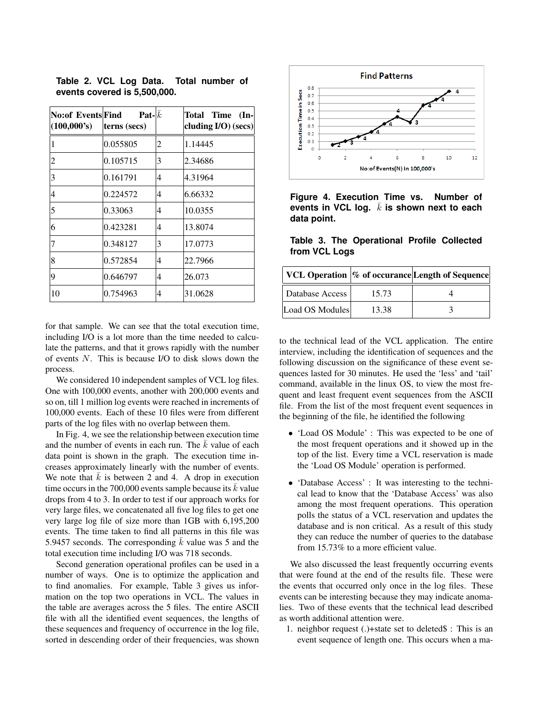| No:of Events Find<br>(100,000's) | <b>Pat-</b> $k$<br>terns (secs) |   | Total Time<br>$($ ln-<br>cluding I/O) (secs) |
|----------------------------------|---------------------------------|---|----------------------------------------------|
|                                  | 0.055805                        | 2 | 1.14445                                      |
| 2                                | 0.105715                        | 3 | 2.34686                                      |
| 3                                | 0.161791                        | 4 | 4.31964                                      |
| 4                                | 0.224572                        | 4 | 6.66332                                      |
| 5                                | 0.33063                         | 4 | 10.0355                                      |
| 6                                | 0.423281                        | 4 | 13.8074                                      |
|                                  | 0.348127                        | 3 | 17.0773                                      |
| 8                                | 0.572854                        | 4 | 22.7966                                      |
| 9                                | 0.646797                        | 4 | 26.073                                       |
| 10                               | 0.754963                        | 4 | 31.0628                                      |

**Table 2. VCL Log Data. Total number of events covered is 5,500,000.**

for that sample. We can see that the total execution time, including I/O is a lot more than the time needed to calculate the patterns, and that it grows rapidly with the number of events N. This is because I/O to disk slows down the process.

We considered 10 independent samples of VCL log files. One with 100,000 events, another with 200,000 events and so on, till 1 million log events were reached in increments of 100,000 events. Each of these 10 files were from different parts of the log files with no overlap between them.

In Fig. 4, we see the relationship between execution time and the number of events in each run. The  $\overline{k}$  value of each data point is shown in the graph. The execution time increases approximately linearly with the number of events. We note that  $\bar{k}$  is between 2 and 4. A drop in execution time occurs in the 700,000 events sample because its  $k$  value drops from 4 to 3. In order to test if our approach works for very large files, we concatenated all five log files to get one very large log file of size more than 1GB with 6,195,200 events. The time taken to find all patterns in this file was 5.9457 seconds. The corresponding  $\overline{k}$  value was 5 and the total execution time including I/O was 718 seconds.

Second generation operational profiles can be used in a number of ways. One is to optimize the application and to find anomalies. For example, Table 3 gives us information on the top two operations in VCL. The values in the table are averages across the 5 files. The entire ASCII file with all the identified event sequences, the lengths of these sequences and frequency of occurrence in the log file, sorted in descending order of their frequencies, was shown



**Figure 4. Execution Time vs. Number of** events in VCL log.  $\bar{k}$  is shown next to each **data point.**

**Table 3. The Operational Profile Collected from VCL Logs**

|                 |       | VCL Operation  % of occurance Length of Sequence |
|-----------------|-------|--------------------------------------------------|
| Database Access | 15.73 |                                                  |
| Load OS Modules | 13.38 |                                                  |

to the technical lead of the VCL application. The entire interview, including the identification of sequences and the following discussion on the significance of these event sequences lasted for 30 minutes. He used the 'less' and 'tail' command, available in the linux OS, to view the most frequent and least frequent event sequences from the ASCII file. From the list of the most frequent event sequences in the beginning of the file, he identified the following

- 'Load OS Module' : This was expected to be one of the most frequent operations and it showed up in the top of the list. Every time a VCL reservation is made the 'Load OS Module' operation is performed.
- 'Database Access' : It was interesting to the technical lead to know that the 'Database Access' was also among the most frequent operations. This operation polls the status of a VCL reservation and updates the database and is non critical. As a result of this study they can reduce the number of queries to the database from 15.73% to a more efficient value.

We also discussed the least frequently occurring events that were found at the end of the results file. These were the events that occurred only once in the log files. These events can be interesting because they may indicate anomalies. Two of these events that the technical lead described as worth additional attention were.

1. neighbor request (.)+state set to deleted\$ : This is an event sequence of length one. This occurs when a ma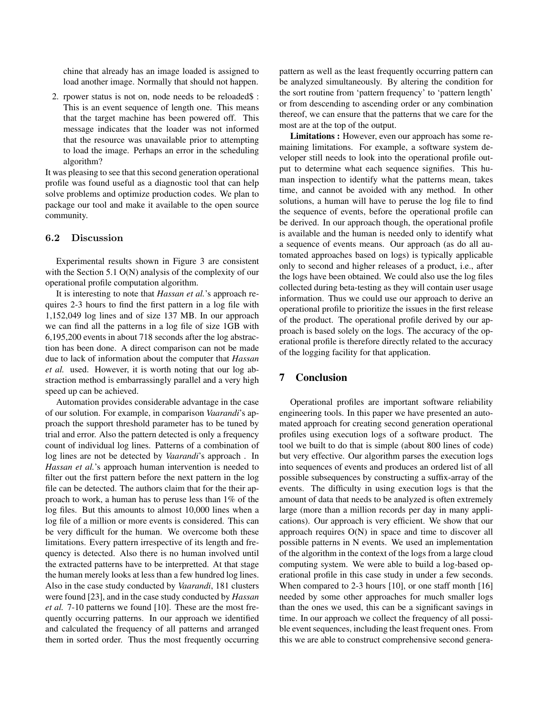chine that already has an image loaded is assigned to load another image. Normally that should not happen.

2. rpower status is not on, node needs to be reloaded\$ : This is an event sequence of length one. This means that the target machine has been powered off. This message indicates that the loader was not informed that the resource was unavailable prior to attempting to load the image. Perhaps an error in the scheduling algorithm?

It was pleasing to see that this second generation operational profile was found useful as a diagnostic tool that can help solve problems and optimize production codes. We plan to package our tool and make it available to the open source community.

#### 6.2 Discussion

Experimental results shown in Figure 3 are consistent with the Section 5.1 O(N) analysis of the complexity of our operational profile computation algorithm.

It is interesting to note that *Hassan et al.*'s approach requires 2-3 hours to find the first pattern in a log file with 1,152,049 log lines and of size 137 MB. In our approach we can find all the patterns in a log file of size 1GB with 6,195,200 events in about 718 seconds after the log abstraction has been done. A direct comparison can not be made due to lack of information about the computer that *Hassan et al.* used. However, it is worth noting that our log abstraction method is embarrassingly parallel and a very high speed up can be achieved.

Automation provides considerable advantage in the case of our solution. For example, in comparison *Vaarandi*'s approach the support threshold parameter has to be tuned by trial and error. Also the pattern detected is only a frequency count of individual log lines. Patterns of a combination of log lines are not be detected by *Vaarandi*'s approach . In *Hassan et al.*'s approach human intervention is needed to filter out the first pattern before the next pattern in the log file can be detected. The authors claim that for the their approach to work, a human has to peruse less than 1% of the log files. But this amounts to almost 10,000 lines when a log file of a million or more events is considered. This can be very difficult for the human. We overcome both these limitations. Every pattern irrespective of its length and frequency is detected. Also there is no human involved until the extracted patterns have to be interpretted. At that stage the human merely looks at less than a few hundred log lines. Also in the case study conducted by *Vaarandi*, 181 clusters were found [23], and in the case study conducted by *Hassan et al.* 7-10 patterns we found [10]. These are the most frequently occurring patterns. In our approach we identified and calculated the frequency of all patterns and arranged them in sorted order. Thus the most frequently occurring pattern as well as the least frequently occurring pattern can be analyzed simultaneously. By altering the condition for the sort routine from 'pattern frequency' to 'pattern length' or from descending to ascending order or any combination thereof, we can ensure that the patterns that we care for the most are at the top of the output.

Limitations : However, even our approach has some remaining limitations. For example, a software system developer still needs to look into the operational profile output to determine what each sequence signifies. This human inspection to identify what the patterns mean, takes time, and cannot be avoided with any method. In other solutions, a human will have to peruse the log file to find the sequence of events, before the operational profile can be derived. In our approach though, the operational profile is available and the human is needed only to identify what a sequence of events means. Our approach (as do all automated approaches based on logs) is typically applicable only to second and higher releases of a product, i.e., after the logs have been obtained. We could also use the log files collected during beta-testing as they will contain user usage information. Thus we could use our approach to derive an operational profile to prioritize the issues in the first release of the product. The operational profile derived by our approach is based solely on the logs. The accuracy of the operational profile is therefore directly related to the accuracy of the logging facility for that application.

# 7 Conclusion

Operational profiles are important software reliability engineering tools. In this paper we have presented an automated approach for creating second generation operational profiles using execution logs of a software product. The tool we built to do that is simple (about 800 lines of code) but very effective. Our algorithm parses the execution logs into sequences of events and produces an ordered list of all possible subsequences by constructing a suffix-array of the events. The difficulty in using execution logs is that the amount of data that needs to be analyzed is often extremely large (more than a million records per day in many applications). Our approach is very efficient. We show that our approach requires O(N) in space and time to discover all possible patterns in N events. We used an implementation of the algorithm in the context of the logs from a large cloud computing system. We were able to build a log-based operational profile in this case study in under a few seconds. When compared to 2-3 hours [10], or one staff month [16] needed by some other approaches for much smaller logs than the ones we used, this can be a significant savings in time. In our approach we collect the frequency of all possible event sequences, including the least frequent ones. From this we are able to construct comprehensive second genera